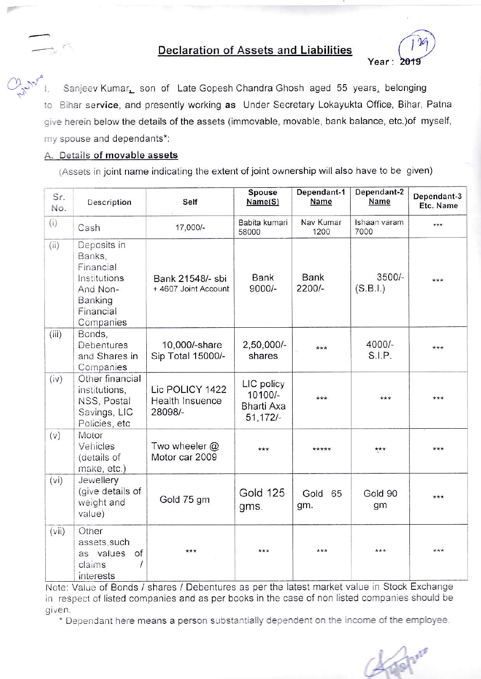## **Declaration of Assets and Liabilities**



Sanjeev Kumar, son of Late Gopesh Chandra Ghosh aged 55 years, belonging to Bihar service, and presently working as Under Secretary Lokayukta Office, Bihar, Patna give herein below the details of the assets (immovable, movable, bank balance, etc.) of myself, my spouse and dependants\*:

## A. Details of movable assets

(Assets in joint name indicating the extent of joint ownership will also have to be given)

| Sr.<br>No. | Description                                                                                         | Self                                          | Spouse<br>Name(S)                                        | Dependant-1<br>Name     | Dependant-2<br>Name  | Dependant-3<br>Etc. Name |
|------------|-----------------------------------------------------------------------------------------------------|-----------------------------------------------|----------------------------------------------------------|-------------------------|----------------------|--------------------------|
| (i)        | Cash                                                                                                | 17,000/-                                      | Babita kumari<br>58000                                   | Nav Kumar<br>1200       | Ishaan varam<br>7000 | ***                      |
| (ii)       | Deposits in<br>Banks,<br>Financial<br>Institutions<br>And Non-<br>Banking<br>Financial<br>Companies | Bank 21548/- sbi<br>+ 4607 Joint Account      | <b>Bank</b><br>$9000/-$                                  | <b>Bank</b><br>$2200/-$ | $3500/-$<br>(S.B.l.) | ***                      |
| (iii)      | Bonds,<br>Debentures<br>and Shares in<br>Companies                                                  | 10,000/-share<br>Sip Total 15000/-            | 2,50,000/-<br>shares                                     | $***$                   | 4000/-<br>S.I.P.     | $***$                    |
| (iv)       | Other financial<br>institutions,<br>NSS, Postal<br>Savings, LIC<br>Policies, etc                    | Lic POLICY 1422<br>Health Insuence<br>28098/- | LIC policy<br>10100/-<br><b>Bharti Axa</b><br>$51,172/-$ | ***                     | ***                  | ***                      |
| (v)        | Motor<br>Vehicles<br>(details of<br>make, etc.)                                                     | Two wheeler $@$<br>Motor car 2009             | ***                                                      | *****                   | ***                  | $***$                    |
| (vi)       | Jewellery<br>(give details of<br>weight and<br>value)                                               | Gold 75 gm                                    | <b>Gold 125</b><br>gms.                                  | Gold<br>65<br>gm.       | Gold 90<br>gm        | ***                      |
| (vii)      | Other<br>assets, such<br>as values<br>of<br>claims<br>1<br>interests                                | ***                                           | ***                                                      | ***                     | ***                  | ***                      |

Note: Value of Bonds / shares / Debentures as per the latest market value in Stock Exchange in respect of listed companies and as per books in the case of non listed companies should be given.

\* Dependant here means a person substantially dependent on the income of the employee.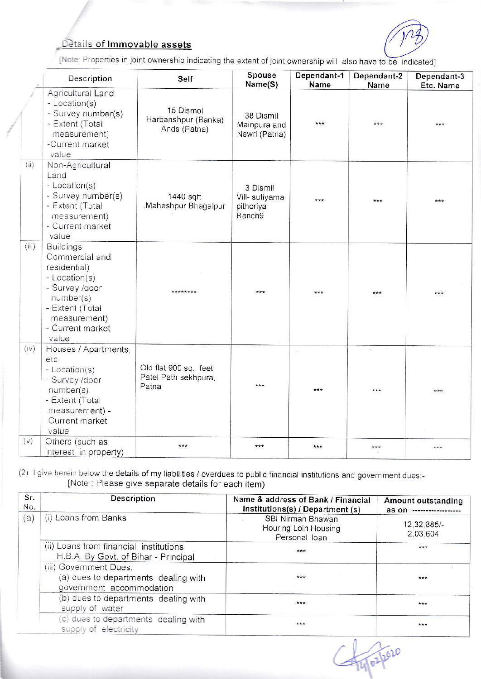## Details of Immovable assets



[Note: Properties in joint ownership indicating the extent of joint ownership will also have to be indicated]

|       | Description                                                                                                                                                        | Self                                                   | Spouse<br>Name(S)                                 | Dependant-1<br><b>Name</b> | Dependant-2<br>Name | Dependant-3<br>Etc. Name |
|-------|--------------------------------------------------------------------------------------------------------------------------------------------------------------------|--------------------------------------------------------|---------------------------------------------------|----------------------------|---------------------|--------------------------|
|       | Agricultural Land<br>- Location(s)<br>- Survey number(s)<br>- Extent (Total<br>measurement)<br>-Current market<br>value                                            | 15 Dismol<br>Harbanshpur (Banka)<br>Ands (Patna)       | 38 Dismil<br>Mainpura and<br>Newri (Patna)        | ***                        | $***$               | ***                      |
| (ii)  | Non-Agricultural<br>Land<br>- Location(s)<br>- Survey number(s)<br>- Extent (Total<br>measurement)<br>- Current market<br>value                                    | 1440 sqft<br>Maheshpur Bhagalpur                       | 3 Dismil<br>Vill- sutiyama<br>pithoriya<br>Ranch9 | $***$                      | $+ + +$             | ***                      |
| (iii) | <b>Buildings</b><br>Commercial and<br>residential)<br>- Location(s)<br>- Survey /door<br>number(s)<br>- Extent (Total<br>measurement)<br>- Current market<br>value | ********                                               | ***                                               | ***                        | ***                 | اطاءطاطه                 |
| (iv)  | Houses / Apartments,<br>etc.<br>- Location(s)<br>- Survey /door<br>number(s)<br>- Extent (Total<br>measurement) -<br>Current market<br>value                       | Old flat 900 sq. feet<br>Patel Path sekhpura,<br>Patna | ***                                               | $+ + +$                    | ***                 | ***                      |
| (V)   | Others (such as<br>interest in property)                                                                                                                           | $***$                                                  | ***                                               | ***                        | $***$               | ***                      |

(2) I give herein below the details of my liabilities / overdues to public financial institutions and government dues:-[Note : Please give separate details for each item)

| Sr.<br>No. | <b>Description</b>                                                                         | Name & address of Bank / Financial<br>Institutions(s) / Department (s) | Amount outstanding<br>as on |
|------------|--------------------------------------------------------------------------------------------|------------------------------------------------------------------------|-----------------------------|
| (a)        | (i) Loans from Banks                                                                       | SBI Nirman Bhawan<br>Houring Loin Housing<br>Personal Iloan            | 12,32,885/-<br>2,03,604     |
|            | (ii) Loans from financial institutions<br>H.B.A. By Govt. of Bihar - Principal             | ***                                                                    | ***                         |
|            | (iii) Government Dues:<br>(a) dues to departments dealing with<br>government accommodation | $***$                                                                  | ***                         |
|            | (b) dues to departments dealing with<br>supply of water                                    | ***                                                                    | $***$                       |
|            | (c) dues to departments dealing with<br>supply of electricity                              | ***                                                                    | ***                         |

14/02/2020